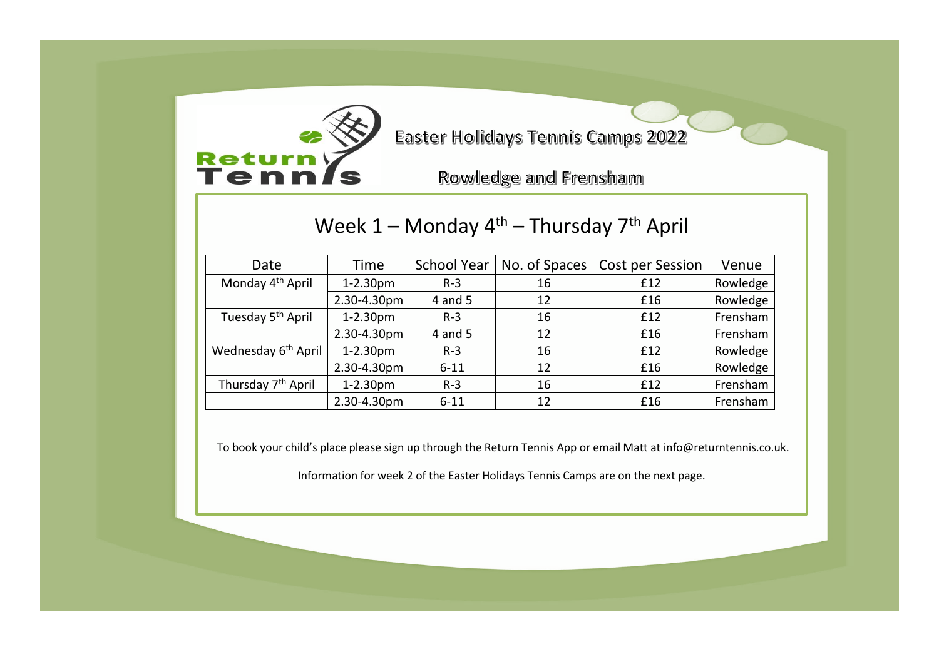

Easter Holidays Tennis Camps 2022

Rowledge and Frensham

## Week 1 – Monday 4<sup>th</sup> – Thursday 7<sup>th</sup> April

| Date                            | Time        | <b>School Year</b> | No. of Spaces | Cost per Session | Venue    |
|---------------------------------|-------------|--------------------|---------------|------------------|----------|
| Monday 4 <sup>th</sup> April    | 1-2.30pm    | $R-3$              | 16            | £12              | Rowledge |
|                                 | 2.30-4.30pm | $4$ and $5$        | 12            | £16              | Rowledge |
| Tuesday 5 <sup>th</sup> April   | 1-2.30pm    | $R-3$              | 16            | £12              | Frensham |
|                                 | 2.30-4.30pm | 4 and 5            | 12            | £16              | Frensham |
| Wednesday 6 <sup>th</sup> April | $1-2.30pm$  | $R-3$              | 16            | £12              | Rowledge |
|                                 | 2.30-4.30pm | $6 - 11$           | 12            | £16              | Rowledge |
| Thursday 7 <sup>th</sup> April  | 1-2.30pm    | $R-3$              | 16            | £12              | Frensham |
|                                 | 2.30-4.30pm | $6 - 11$           | 12            | £16              | Frensham |

To book your child's place please sign up through the Return Tennis App or email Matt at info@returntennis.co.uk.

Information for week 2 of the Easter Holidays Tennis Camps are on the next page.